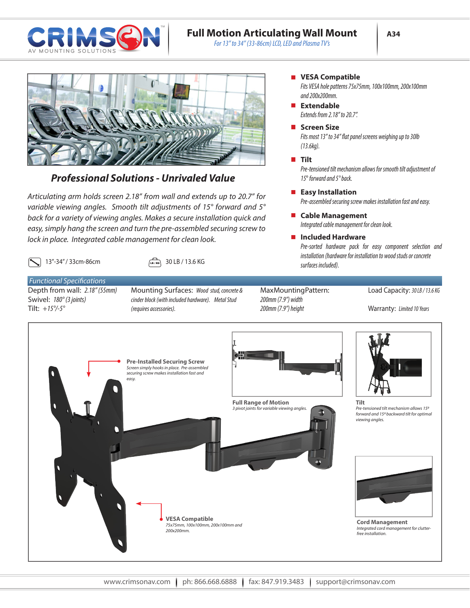

## **Full Motion Articulating Wall Mount**

*For 13" to 34" (33-86cm) LCD, LED and Plasma TV's*



## *Professional Solutions - Unrivaled Value*

*Articulating arm holds screen 2.18" from wall and extends up to 20.7" for variable viewing angles. Smooth tilt adjustments of 15° forward and 5° back for a variety of viewing angles. Makes a secure installation quick and easy, simply hang the screen and turn the pre-assembled securing screw to lock in place. Integrated cable management for clean look.* 

13"-34" / 33cm-86cm  $\sqrt{48/13}$  30 LB / 13.6 KG

## *Functional Specifications*

Depth from wall: *2.18" (55mm)* Swivel: *180° (3 joints)* Tilt: *+15°/-5°*

Mounting Surfaces: *Wood stud, concrete & cinder block (with included hardware). Metal Stud (requires accessories).* 

Max Mounting Pattern: *200mm (7.9") width 200mm (7.9") height*

*surfaces included).*

*(13.6kg).*

**Tilt**

**Screen Size** 

**Extendable** 

*and 200x200mm.*

*Extends from 2.18" to 20.7".*

**VESA Compatible**

**Included Hardware**

**Cable Management**

*Integrated cable management for clean look.*

*15*° *forward and 5° back.*

**Easy Installation** 

## Load Capacity: *30 LB / 13.6 KG*

Warranty: *Limited 10 Years*

*Pre-sorted hardware pack for easy component selection and installation (hardware for installation to wood studs or concrete*

*Fits most 13" to 34" flat panel screens weighing up to 30lb*

*Fits VESA hole patterns 75x75mm, 100x100mm, 200x100mm*

*Pre-tensioned tilt mechanism allows for smooth tilt adjustment of* 

*Pre-assembled securing screw makes installation fast and easy.*